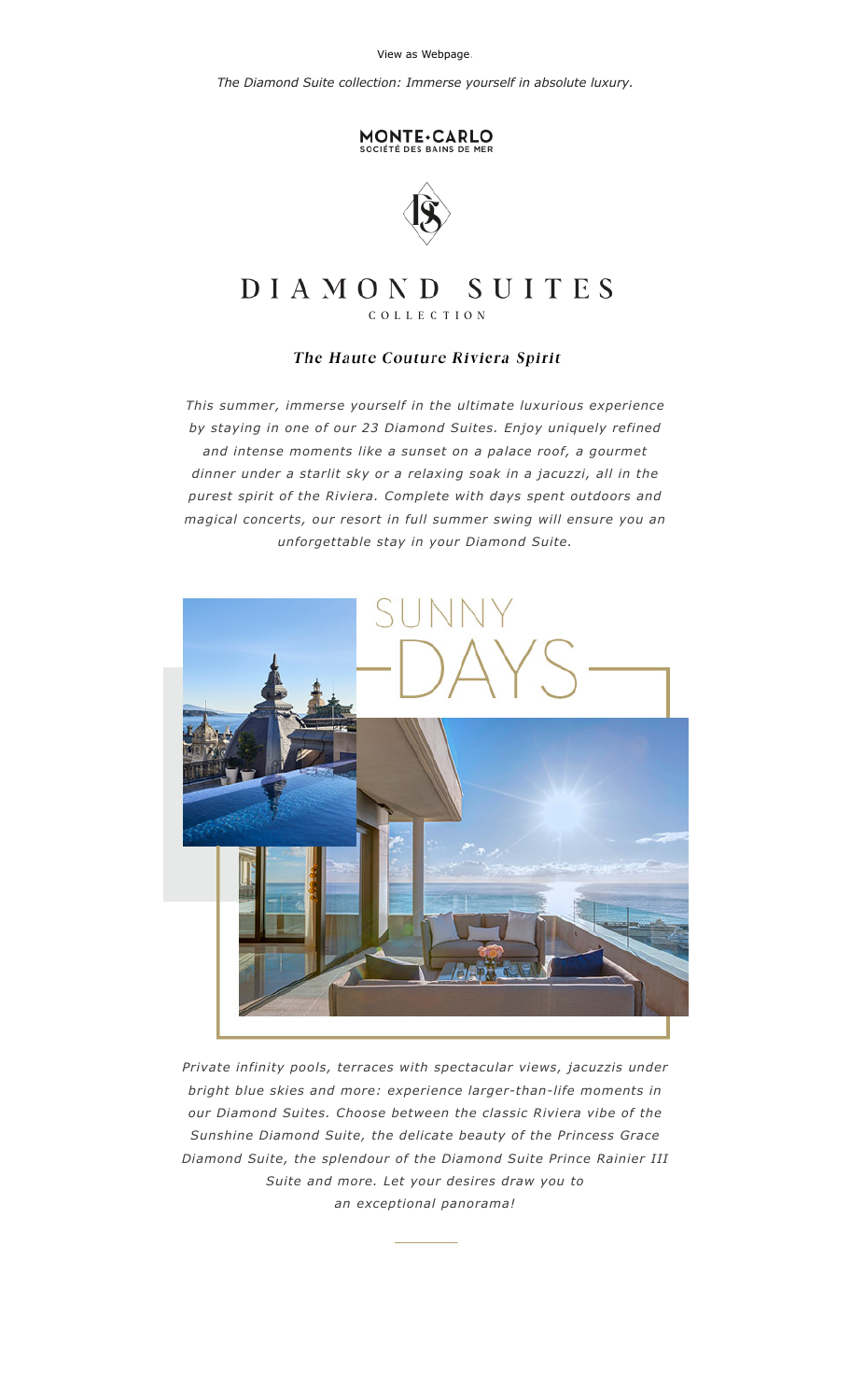[View as Webpage.](file:///E:/2020/edp-itlogin%202020/EDrive2020/ADC1/Unnamed%20Site%202/2022/Monaco/NL/June/2/[[ViewAsWebpage]])

*The Diamond Suite collection: Immerse yourself in absolute luxury.*

## MONTE.CARLO



## SUITES DIAMOND

COLLECTION

## The Haute Couture Riviera Spirit

*This summer, immerse yourself in the ultimate luxurious experience by staying in one of our 23 Diamond Suites. Enjoy uniquely refined and intense moments like a sunset on a palace roof, a gourmet dinner under a starlit sky or a relaxing soak in a jacuzzi, all in the purest spirit of the Riviera. Complete with days spent outdoors and magical concerts, our resort in full summer swing will ensure you an unforgettable stay in your Diamond Suite.*



*Private infinity pools, terraces with spectacular views, jacuzzis under bright blue skies and more: experience [larger-than-life](https://sales.sbm.mc/re?l=D0I464bkrI1bk2lscI7ITl48g8pkt&s=GCNFAMGKEDPOLFMG) moments in our Diamond Suites. Choose between the classic Riviera vibe of the Sunshine Diamond Suite, the delicate beauty of the Princess Grace Diamond Suite, the splendour of the Diamond Suite Prince Rainier III Suite and more. Let your desires draw you to an exceptional panorama!*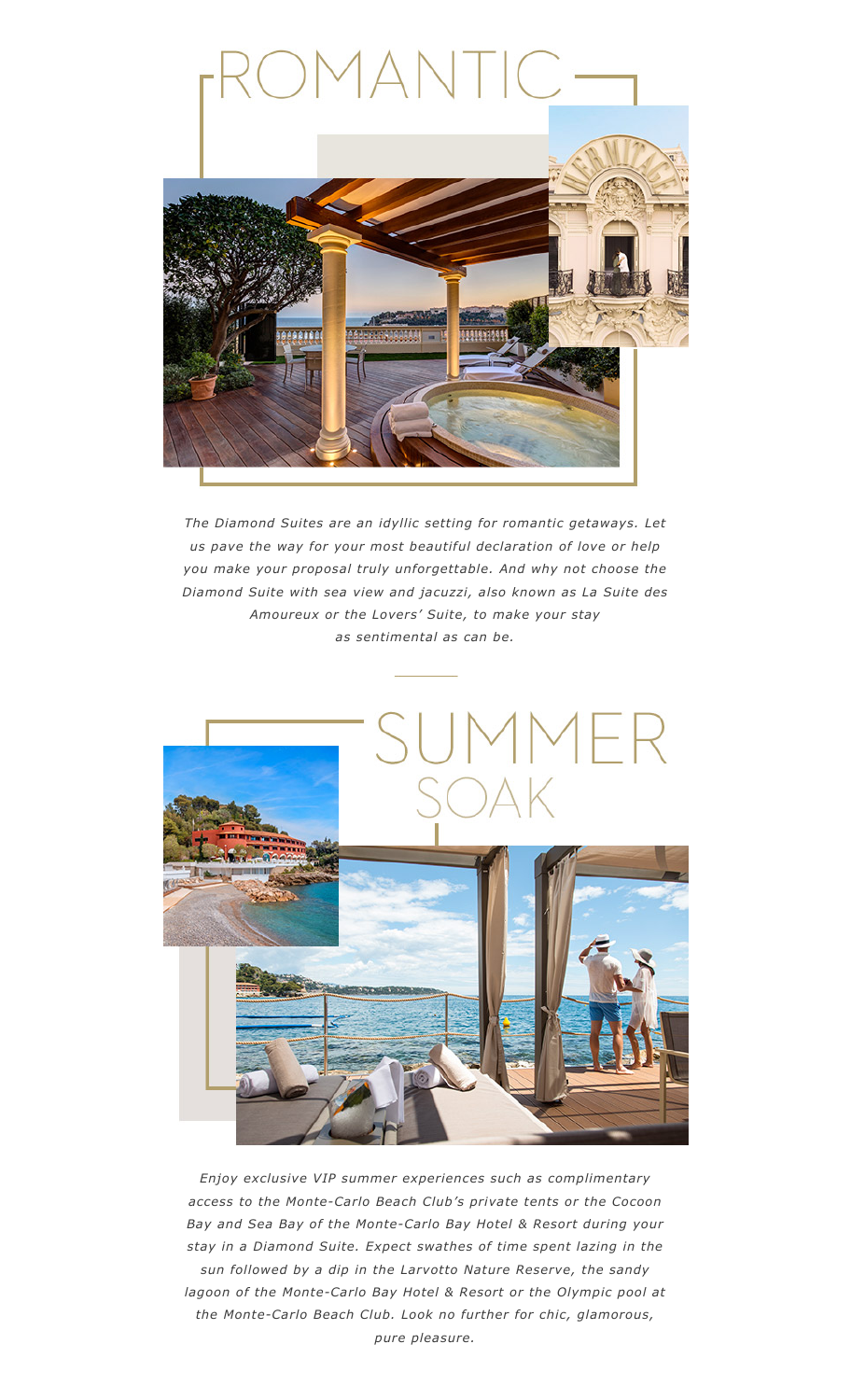

*The Diamond Suites are an idyllic setting for romantic getaways. Let us pave the way for your most beautiful declaration of love or help you make your proposal truly [unforgettable.](https://sales.sbm.mc/re?l=D0I464bkrI1bk2lscI9ITl48g8pkt&s=GCNFAMGKEDPOLFMG) And why not choose the Diamond Suite with sea view and jacuzzi, also known as La Suite des Amoureux or the Lovers' Suite, to make your stay as sentimental as can be.*



*Enjoy exclusive VIP summer experiences such as [complimentary](https://sales.sbm.mc/re?l=D0I464bkrI1bk2lscIbITl48g8pkt&s=GCNFAMGKEDPOLFMG) access to the Monte-Carlo Beach Club's private tents or the Cocoon Bay and Sea Bay of the Monte-Carlo Bay Hotel & Resort during your stay in a Diamond Suite. Expect swathes of time spent lazing in the sun followed by a dip in the Larvotto Nature Reserve, the sandy lagoon of the Monte-Carlo Bay Hotel & Resort or the Olympic pool at the Monte-Carlo Beach Club. Look no further for chic, glamorous, pure pleasure.*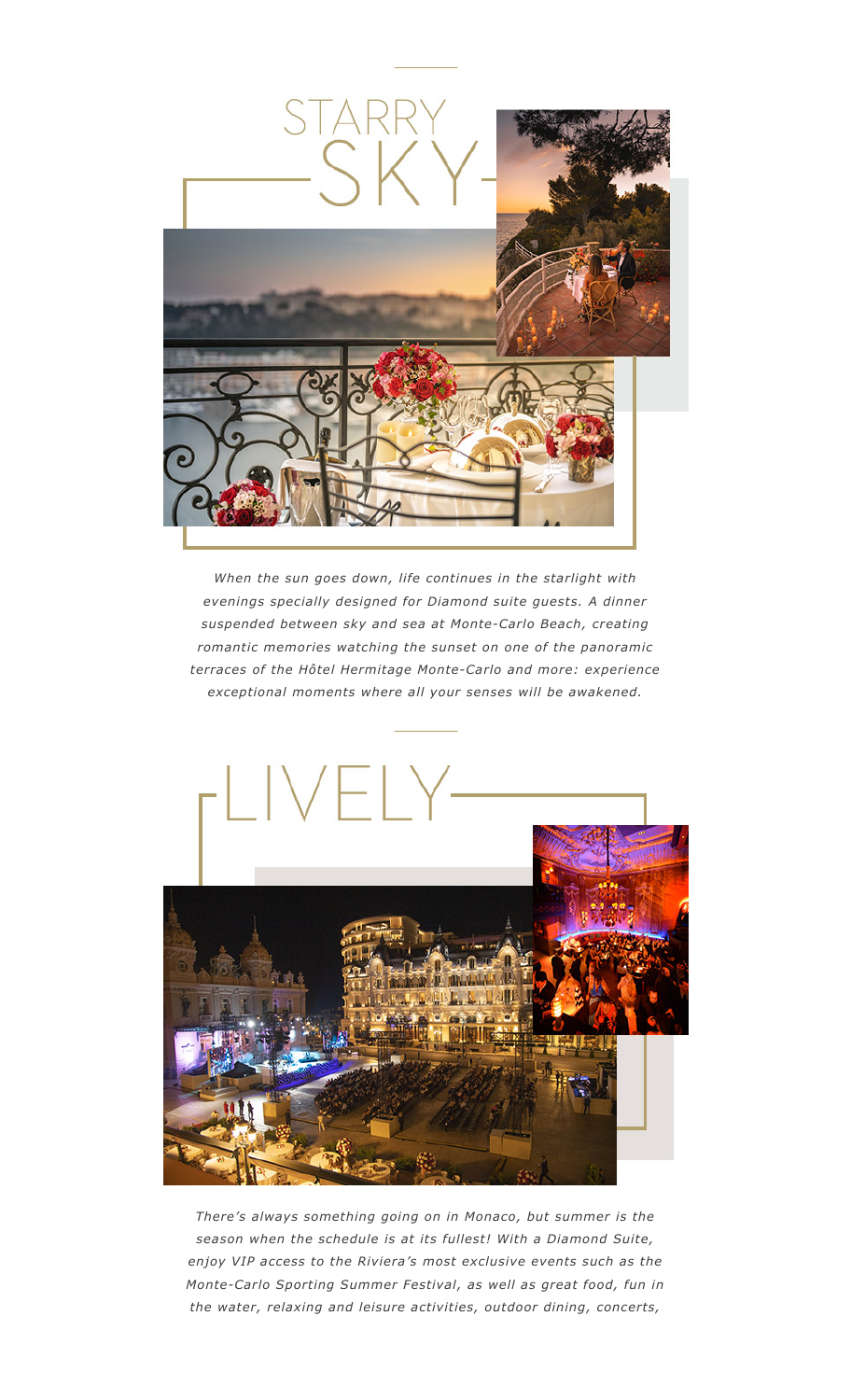

*When the sun goes down, life continues in the starlight with evenings specially designed for Diamond suite guests. A dinner suspended between sky and sea at [Monte-Carlo](https://sales.sbm.mc/re?l=D0I464bkrI1bk2lscIdITl48g8pkt&s=GCNFAMGKEDPOLFMG) Beach, creating romantic memories watching the sunset on one of the panoramic terraces of the Hôtel Hermitage Monte-Carlo and more: experience exceptional moments where all your senses will be awakened.*



*There's always something going on in Monaco, but summer is the season when the schedule is at its fullest! With a Diamond Suite, enjoy VIP access to the Riviera's most exclusive events such as the [Monte-Carlo](https://sales.sbm.mc/re?l=D0I464bkrI1bk2lscIfITl48g8pkt&s=GCNFAMGKEDPOLFMG) Sporting Summer Festival, as well as great food, fun in the water, relaxing and leisure activities, outdoor dining, concerts,*